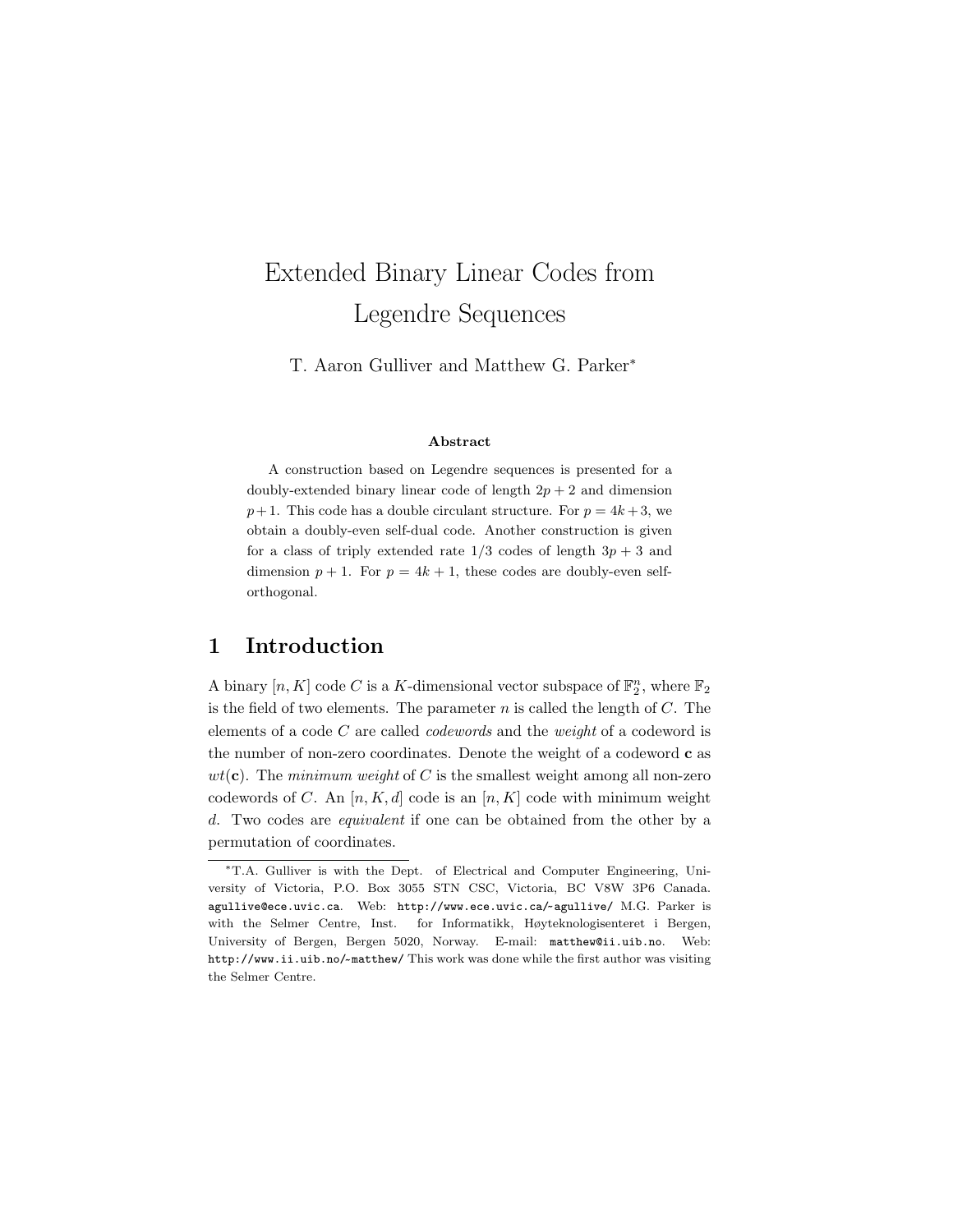# Extended Binary Linear Codes from Legendre Sequences

T. Aaron Gulliver and Matthew G. Parker<sup>∗</sup>

#### Abstract

A construction based on Legendre sequences is presented for a doubly-extended binary linear code of length  $2p + 2$  and dimension  $p+1$ . This code has a double circulant structure. For  $p = 4k+3$ , we obtain a doubly-even self-dual code. Another construction is given for a class of triply extended rate  $1/3$  codes of length  $3p + 3$  and dimension  $p + 1$ . For  $p = 4k + 1$ , these codes are doubly-even selforthogonal.

### 1 Introduction

A binary  $[n, K]$  code C is a K-dimensional vector subspace of  $\mathbb{F}_2^n$ , where  $\mathbb{F}_2$ is the field of two elements. The parameter  $n$  is called the length of  $C$ . The elements of a code C are called codewords and the weight of a codeword is the number of non-zero coordinates. Denote the weight of a codeword c as  $wt(c)$ . The minimum weight of C is the smallest weight among all non-zero codewords of C. An  $[n, K, d]$  code is an  $[n, K]$  code with minimum weight d. Two codes are equivalent if one can be obtained from the other by a permutation of coordinates.

<sup>∗</sup>T.A. Gulliver is with the Dept. of Electrical and Computer Engineering, University of Victoria, P.O. Box 3055 STN CSC, Victoria, BC V8W 3P6 Canada. agullive@ece.uvic.ca. Web: http://www.ece.uvic.ca/~ agullive/ M.G. Parker is with the Selmer Centre, Inst. for Informatikk, Høyteknologisenteret i Bergen, University of Bergen, Bergen 5020, Norway. E-mail: matthew@ii.uib.no. Web: http://www.ii.uib.no/~ matthew/ This work was done while the first author was visiting the Selmer Centre.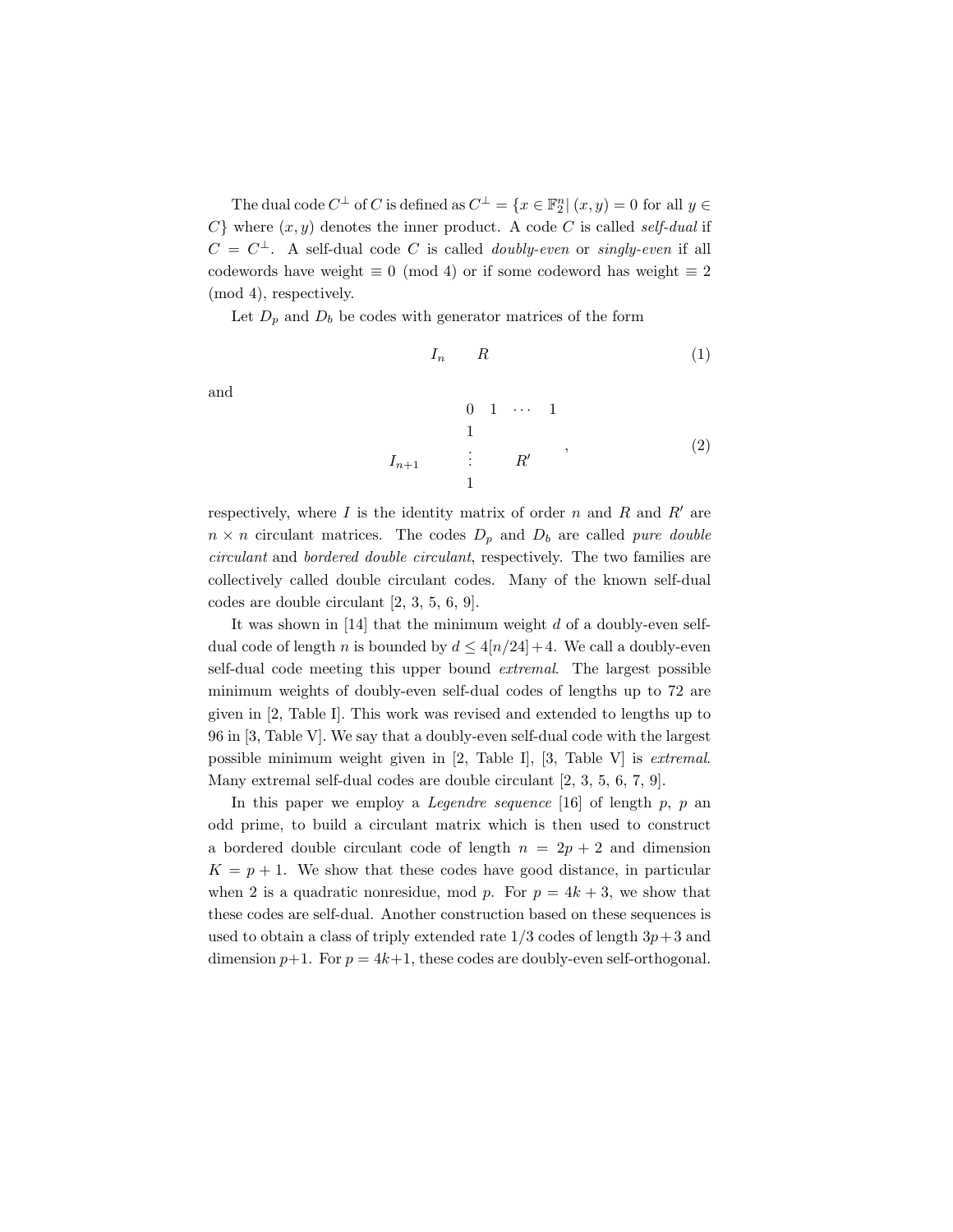The dual code  $C^{\perp}$  of C is defined as  $C^{\perp} = \{x \in \mathbb{F}_2^n | (x, y) = 0 \text{ for all } y \in \mathbb{F}_2$  $C$ } where  $(x, y)$  denotes the inner product. A code C is called self-dual if  $C = C^{\perp}$ . A self-dual code C is called *doubly-even* or *singly-even* if all codewords have weight  $\equiv 0 \pmod{4}$  or if some codeword has weight  $\equiv 2$ (mod 4), respectively.

Let  $D_p$  and  $D_b$  be codes with generator matrices of the form

$$
I_n \qquad R \tag{1}
$$

and

0 1 · · · 1 1 In+1 . . . R<sup>0</sup> 1 , (2)

respectively, where  $I$  is the identity matrix of order  $n$  and  $R$  and  $R'$  are  $n \times n$  circulant matrices. The codes  $D_p$  and  $D_b$  are called pure double circulant and bordered double circulant, respectively. The two families are collectively called double circulant codes. Many of the known self-dual codes are double circulant [2, 3, 5, 6, 9].

It was shown in  $[14]$  that the minimum weight d of a doubly-even selfdual code of length n is bounded by  $d \leq 4[n/24]+4$ . We call a doubly-even self-dual code meeting this upper bound extremal. The largest possible minimum weights of doubly-even self-dual codes of lengths up to 72 are given in [2, Table I]. This work was revised and extended to lengths up to 96 in [3, Table V]. We say that a doubly-even self-dual code with the largest possible minimum weight given in [2, Table I], [3, Table V] is extremal. Many extremal self-dual codes are double circulant [2, 3, 5, 6, 7, 9].

In this paper we employ a *Legendre sequence* [16] of length  $p$ ,  $p$  and odd prime, to build a circulant matrix which is then used to construct a bordered double circulant code of length  $n = 2p + 2$  and dimension  $K = p + 1$ . We show that these codes have good distance, in particular when 2 is a quadratic nonresidue, mod p. For  $p = 4k + 3$ , we show that these codes are self-dual. Another construction based on these sequences is used to obtain a class of triply extended rate  $1/3$  codes of length  $3p+3$  and dimension  $p+1$ . For  $p = 4k+1$ , these codes are doubly-even self-orthogonal.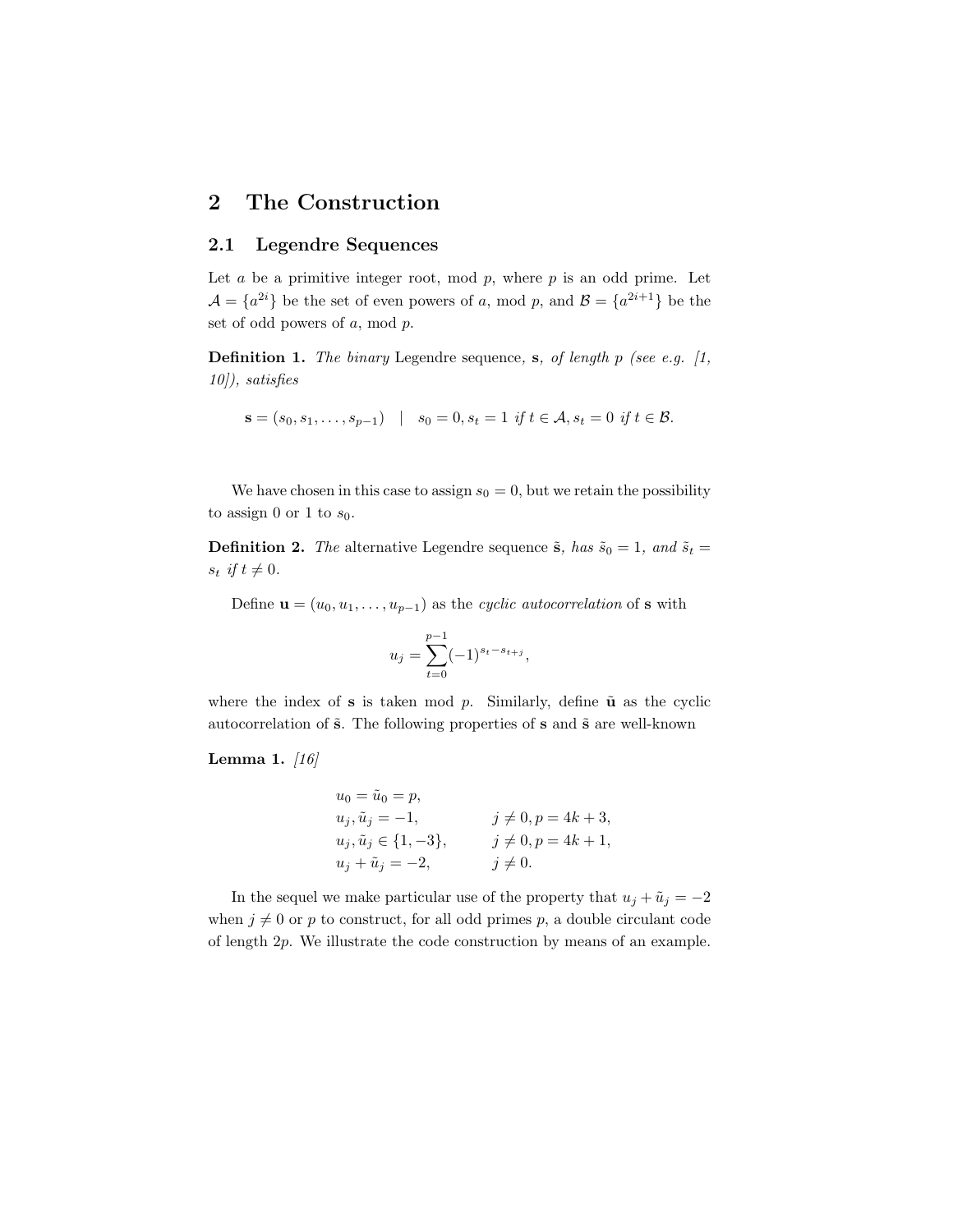### 2 The Construction

#### 2.1 Legendre Sequences

Let  $a$  be a primitive integer root, mod  $p$ , where  $p$  is an odd prime. Let  $\mathcal{A} = \{a^{2i}\}\$ be the set of even powers of a, mod p, and  $\mathcal{B} = \{a^{2i+1}\}\$ be the set of odd powers of a, mod p.

**Definition 1.** The binary Legendre sequence, s, of length p (see e.g.  $[1,$ 10]), satisfies

$$
\mathbf{s} = (s_0, s_1, \dots, s_{p-1}) \quad | \quad s_0 = 0, s_t = 1 \text{ if } t \in \mathcal{A}, s_t = 0 \text{ if } t \in \mathcal{B}.
$$

We have chosen in this case to assign  $s_0 = 0$ , but we retain the possibility to assign 0 or 1 to  $s_0$ .

**Definition 2.** The alternative Legendre sequence  $\tilde{\mathbf{s}}$ , has  $\tilde{s}_0 = 1$ , and  $\tilde{s}_t =$  $s_t$  if  $t \neq 0$ .

Define  $\mathbf{u} = (u_0, u_1, \dots, u_{p-1})$  as the cyclic autocorrelation of s with

$$
u_j = \sum_{t=0}^{p-1} (-1)^{s_t - s_{t+j}},
$$

where the index of s is taken mod  $p$ . Similarly, define  $\tilde{u}$  as the cyclic autocorrelation of  $\tilde{s}$ . The following properties of  $s$  and  $\tilde{s}$  are well-known

#### Lemma 1.  $|16|$

$$
u_0 = \tilde{u}_0 = p,
$$
  
\n
$$
u_j, \tilde{u}_j = -1,
$$
  
\n
$$
u_j, \tilde{u}_j \in \{1, -3\},
$$
  
\n
$$
j \neq 0, p = 4k + 3,
$$
  
\n
$$
j \neq 0, p = 4k + 1,
$$
  
\n
$$
u_j + \tilde{u}_j = -2,
$$
  
\n
$$
j \neq 0.
$$

In the sequel we make particular use of the property that  $u_j + \tilde{u}_j = -2$ when  $j \neq 0$  or p to construct, for all odd primes p, a double circulant code of length 2p. We illustrate the code construction by means of an example.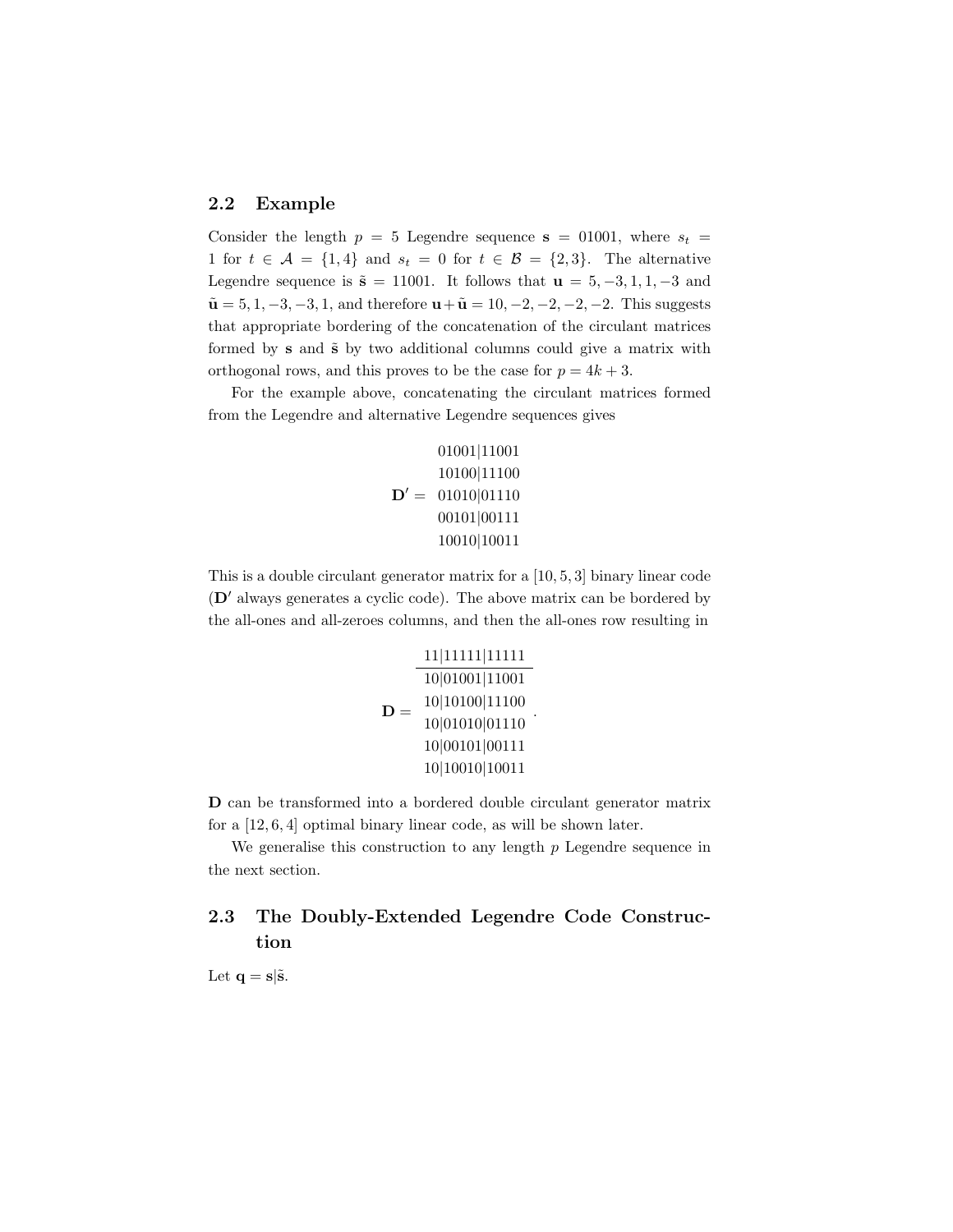### 2.2 Example

Consider the length  $p = 5$  Legendre sequence  $s = 01001$ , where  $s_t =$ 1 for  $t \in \mathcal{A} = \{1, 4\}$  and  $s_t = 0$  for  $t \in \mathcal{B} = \{2, 3\}$ . The alternative Legendre sequence is  $\tilde{s} = 11001$ . It follows that  $u = 5, -3, 1, 1, -3$  and  $\tilde{\mathbf{u}} = 5, 1, -3, -3, 1$ , and therefore  $\mathbf{u} + \tilde{\mathbf{u}} = 10, -2, -2, -2, -2$ . This suggests that appropriate bordering of the concatenation of the circulant matrices formed by  $s$  and  $\tilde{s}$  by two additional columns could give a matrix with orthogonal rows, and this proves to be the case for  $p = 4k + 3$ .

For the example above, concatenating the circulant matrices formed from the Legendre and alternative Legendre sequences gives

> $D' = 01010|01110$ 01001|11001 10100|11100 00101|00111 10010|10011

This is a double circulant generator matrix for a [10, 5, 3] binary linear code  $(D'$  always generates a cyclic code). The above matrix can be bordered by the all-ones and all-zeroes columns, and then the all-ones row resulting in

D = 11|11111|11111 10|01001|11001 10|10100|11100 10|01010|01110 10|00101|00111 10|10010|10011 .

D can be transformed into a bordered double circulant generator matrix for a [12, 6, 4] optimal binary linear code, as will be shown later.

We generalise this construction to any length  $p$  Legendre sequence in the next section.

### 2.3 The Doubly-Extended Legendre Code Construction

Let  $\mathbf{q} = \mathbf{s}|\tilde{\mathbf{s}}$ .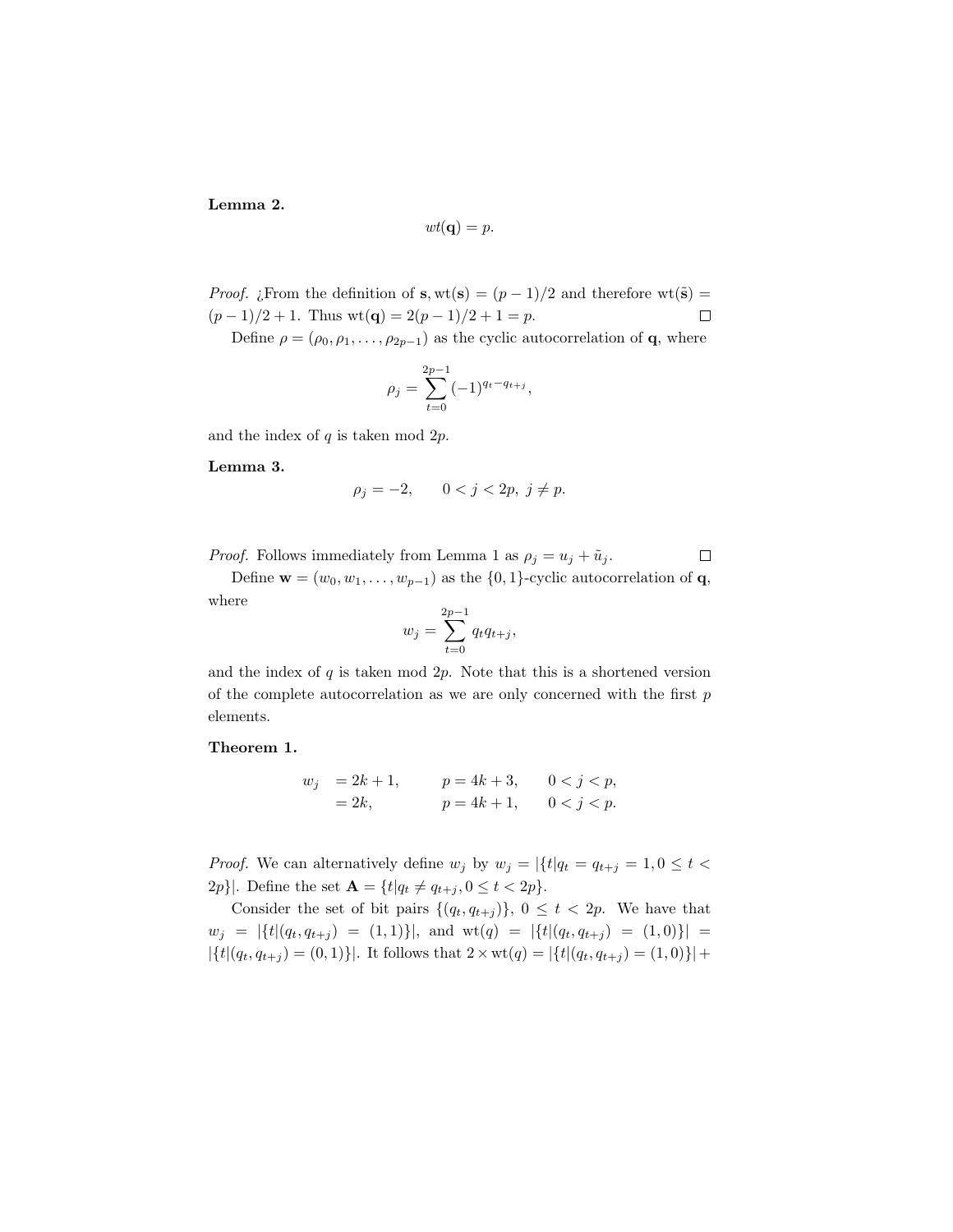Lemma 2.

$$
wt(\mathbf{q})=p.
$$

*Proof.* ¿From the definition of s, wt(s) =  $(p-1)/2$  and therefore wt(s) =  $(p-1)/2 + 1$ . Thus wt(**q**) = 2 $(p-1)/2 + 1 = p$ .  $\Box$ 

Define  $\rho = (\rho_0, \rho_1, \ldots, \rho_{2p-1})$  as the cyclic autocorrelation of **q**, where

$$
\rho_j = \sum_{t=0}^{2p-1} (-1)^{q_t - q_{t+j}},
$$

and the index of  $q$  is taken mod  $2p$ .

Lemma 3.

$$
\rho_j = -2, \qquad 0 < j < 2p, \ j \neq p.
$$

 $\Box$ *Proof.* Follows immediately from Lemma 1 as  $\rho_j = u_j + \tilde{u}_j$ .

Define  $\mathbf{w} = (w_0, w_1, \dots, w_{p-1})$  as the  $\{0, 1\}$ -cyclic autocorrelation of  $\mathbf{q}$ , where

$$
w_j = \sum_{t=0}^{2p-1} q_t q_{t+j},
$$

and the index of  $q$  is taken mod  $2p$ . Note that this is a shortened version of the complete autocorrelation as we are only concerned with the first  $p$ elements.

#### Theorem 1.

$$
w_j = 2k + 1,
$$
  $p = 4k + 3,$   $0 < j < p,$   
= 2k,  $p = 4k + 1,$   $0 < j < p.$ 

*Proof.* We can alternatively define  $w_j$  by  $w_j = |\{t|q_t = q_{t+j} = 1, 0 \leq t <$ 2p}|. Define the set  $\mathbf{A} = \{t | q_t \neq q_{t+j}, 0 \leq t < 2p\}.$ 

Consider the set of bit pairs  $\{(q_t, q_{t+j})\}, 0 \leq t < 2p$ . We have that  $w_j = |\{t|(q_t, q_{t+j}) = (1, 1)\}|$ , and  $\text{wt}(q) = |\{t|(q_t, q_{t+j}) = (1, 0)\}|$  $|\{t|(q_t, q_{t+j}) = (0, 1)\}|$ . It follows that  $2 \times \text{wt}(q) = |\{t|(q_t, q_{t+j}) = (1, 0)\}| +$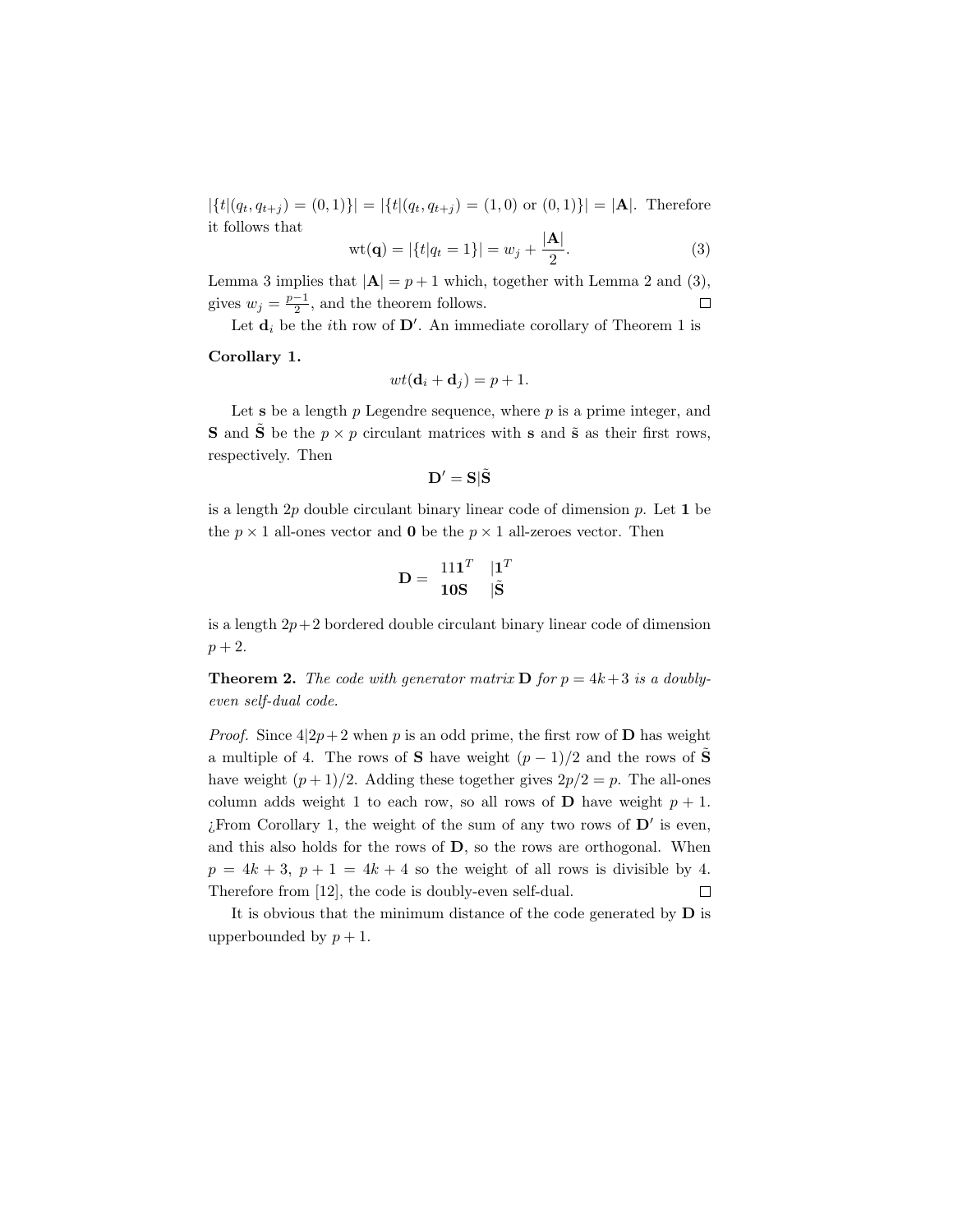$|\{t|(q_t, q_{t+j}) = (0, 1)\}| = |\{t|(q_t, q_{t+j}) = (1, 0) \text{ or } (0, 1)\}| = |\mathbf{A}|.$  Therefore it follows that

$$
\text{wt}(\mathbf{q}) = |\{t|q_t = 1\}| = w_j + \frac{|\mathbf{A}|}{2}.\tag{3}
$$

Lemma 3 implies that  $|\mathbf{A}| = p + 1$  which, together with Lemma 2 and (3), gives  $w_j = \frac{p-1}{2}$ , and the theorem follows.  $\Box$ 

Let  $\mathbf{d}_i$  be the *i*th row of  $\mathbf{D}'$ . An immediate corollary of Theorem 1 is

#### Corollary 1.

$$
wt(\mathbf{d}_i + \mathbf{d}_j) = p + 1.
$$

Let  $s$  be a length  $p$  Legendre sequence, where  $p$  is a prime integer, and **S** and **S** be the  $p \times p$  circulant matrices with **s** and  $\tilde{\mathbf{s}}$  as their first rows, respectively. Then

$$
\mathbf{D}'=\mathbf{S}|\tilde{\mathbf{S}}
$$

is a length  $2p$  double circulant binary linear code of dimension  $p$ . Let 1 be the  $p \times 1$  all-ones vector and **0** be the  $p \times 1$  all-zeroes vector. Then

$$
\mathbf{D} = \begin{array}{cc} 11\mathbf{1}^T & |\mathbf{1}^T \\ \mathbf{10S} & |\tilde{\mathbf{S}} \end{array}
$$

is a length  $2p+2$  bordered double circulant binary linear code of dimension  $p + 2.$ 

**Theorem 2.** The code with generator matrix **D** for  $p = 4k + 3$  is a doublyeven self-dual code.

*Proof.* Since  $4|2p+2$  when p is an odd prime, the first row of **D** has weight a multiple of 4. The rows of S have weight  $(p-1)/2$  and the rows of  $\tilde{\mathbf{S}}$ have weight  $(p+1)/2$ . Adding these together gives  $2p/2 = p$ . The all-ones column adds weight 1 to each row, so all rows of **D** have weight  $p + 1$ . ¿From Corollary 1, the weight of the sum of any two rows of  $\mathbf{D}'$  is even, and this also holds for the rows of D, so the rows are orthogonal. When  $p = 4k + 3$ ,  $p + 1 = 4k + 4$  so the weight of all rows is divisible by 4. Therefore from [12], the code is doubly-even self-dual.  $\Box$ 

It is obvious that the minimum distance of the code generated by  **is** upperbounded by  $p + 1$ .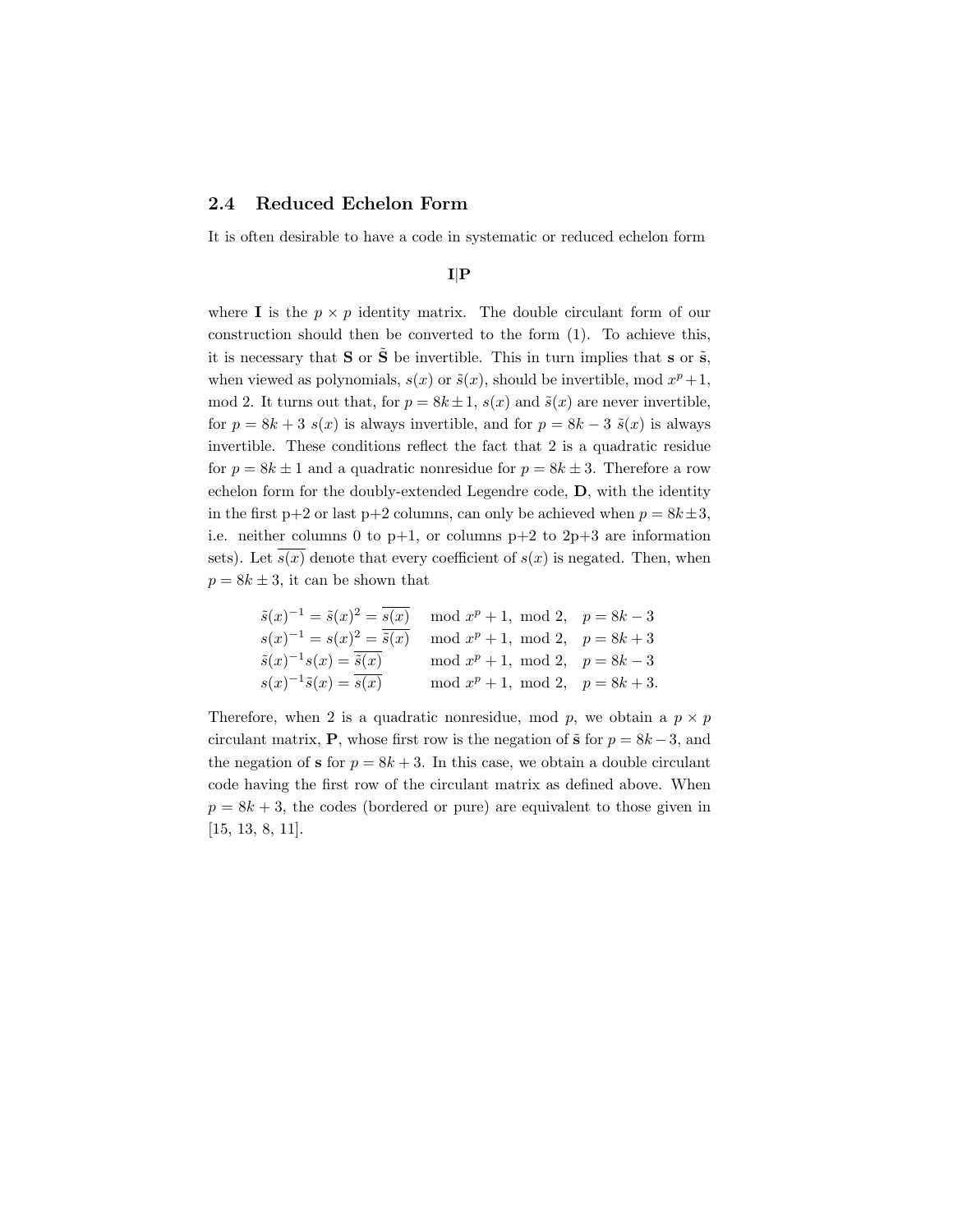#### 2.4 Reduced Echelon Form

It is often desirable to have a code in systematic or reduced echelon form

#### I|P

where **I** is the  $p \times p$  identity matrix. The double circulant form of our construction should then be converted to the form (1). To achieve this, it is necessary that  $S$  or  $\tilde{S}$  be invertible. This in turn implies that s or  $\tilde{s}$ , when viewed as polynomials,  $s(x)$  or  $\tilde{s}(x)$ , should be invertible, mod  $x^p + 1$ , mod 2. It turns out that, for  $p = 8k \pm 1$ ,  $s(x)$  and  $\tilde{s}(x)$  are never invertible, for  $p = 8k + 3$  s(x) is always invertible, and for  $p = 8k - 3$   $\tilde{s}(x)$  is always invertible. These conditions reflect the fact that 2 is a quadratic residue for  $p = 8k \pm 1$  and a quadratic nonresidue for  $p = 8k \pm 3$ . Therefore a row echelon form for the doubly-extended Legendre code, D, with the identity in the first p+2 or last p+2 columns, can only be achieved when  $p = 8k \pm 3$ , i.e. neither columns 0 to  $p+1$ , or columns  $p+2$  to  $2p+3$  are information sets). Let  $\overline{s(x)}$  denote that every coefficient of  $s(x)$  is negated. Then, when  $p = 8k \pm 3$ , it can be shown that

$$
\begin{aligned}\n\tilde{s}(x)^{-1} &= \tilde{s}(x)^{2} = \overline{s(x)} & \mod x^{p} + 1, \mod 2, & p = 8k - 3 \\
s(x)^{-1} &= s(x)^{2} = \overline{\tilde{s}(x)} & \mod x^{p} + 1, \mod 2, & p = 8k + 3 \\
\tilde{s}(x)^{-1}s(x) &= \overline{\tilde{s}(x)} & \mod x^{p} + 1, \mod 2, & p = 8k - 3 \\
s(x)^{-1}\tilde{s}(x) &= \overline{s(x)} & \mod x^{p} + 1, \mod 2, & p = 8k + 3.\n\end{aligned}
$$

Therefore, when 2 is a quadratic nonresidue, mod p, we obtain a  $p \times p$ circulant matrix, **P**, whose first row is the negation of  $\tilde{s}$  for  $p = 8k - 3$ , and the negation of s for  $p = 8k + 3$ . In this case, we obtain a double circulant code having the first row of the circulant matrix as defined above. When  $p = 8k + 3$ , the codes (bordered or pure) are equivalent to those given in [15, 13, 8, 11].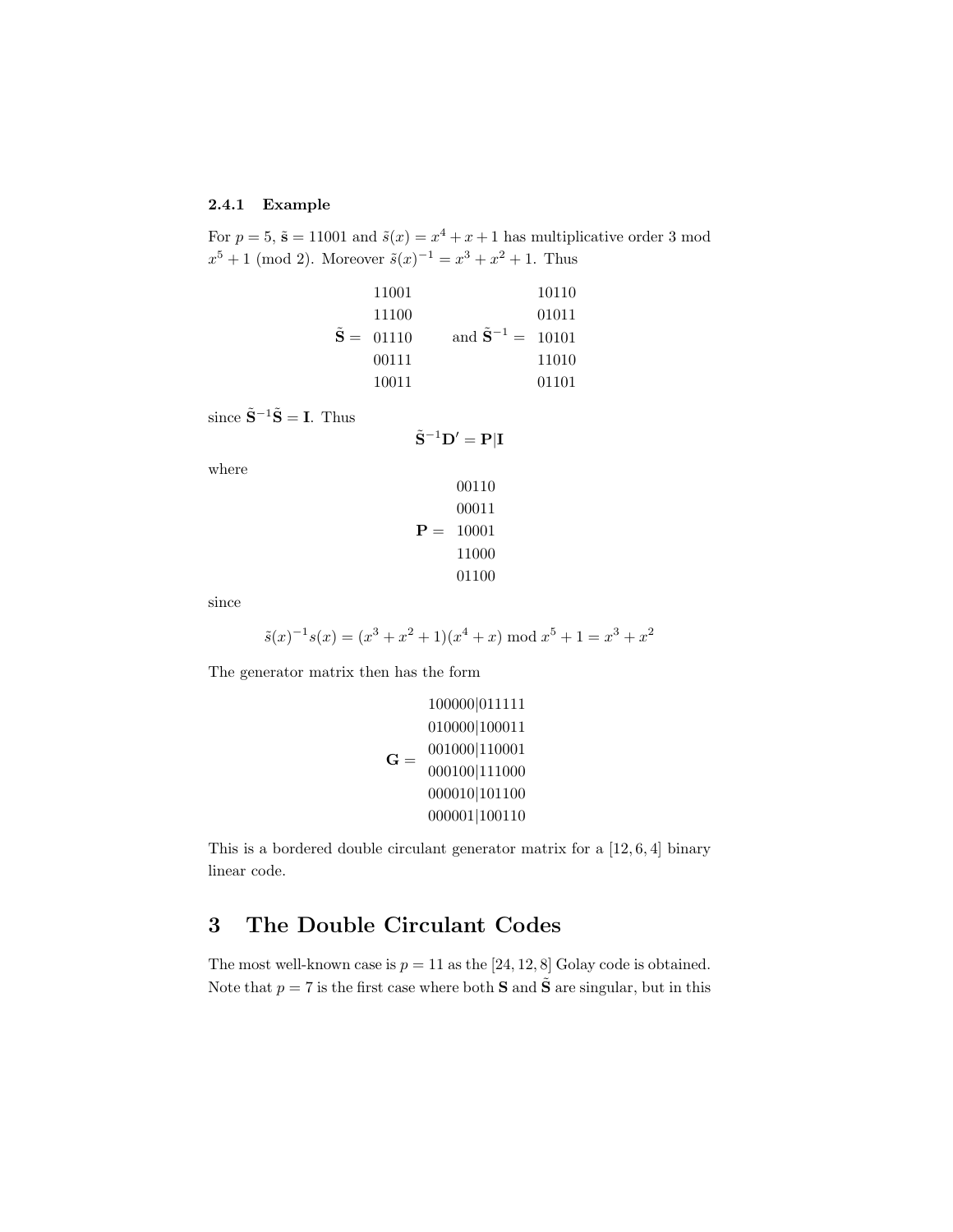#### 2.4.1 Example

For  $p = 5$ ,  $\tilde{s} = 11001$  and  $\tilde{s}(x) = x^4 + x + 1$  has multiplicative order 3 mod  $x^5 + 1 \pmod{2}$ . Moreover  $\tilde{s}(x)^{-1} = x^3 + x^2 + 1$ . Thus

| 11001       |                                       | 10110 |
|-------------|---------------------------------------|-------|
| 11100       |                                       | 01011 |
| $S = 01110$ | and $\tilde{\mathbf{S}}^{-1} = 10101$ |       |
| 00111       |                                       | 11010 |
| 10011       |                                       | 01101 |

since  $\tilde{\mathbf{S}}^{-1}\tilde{\mathbf{S}} = \mathbf{I}$ . Thus

$$
\tilde{\mathbf{S}}^{-1}\mathbf{D}'=\mathbf{P}|\mathbf{I}
$$

where

$$
00110\n00011\n\nP = 10001\n11000\n01100
$$

since

$$
\tilde{s}(x)^{-1}s(x) = (x^3 + x^2 + 1)(x^4 + x) \bmod x^5 + 1 = x^3 + x^2
$$

The generator matrix then has the form

$$
\mathbf{G} = \begin{bmatrix} 100000|011111 \\ 010000|100011 \\ 001000|110001 \\ 000100|111000 \\ 000010|101100 \\ 000001|100110 \end{bmatrix}
$$

This is a bordered double circulant generator matrix for a [12, 6, 4] binary linear code.

## 3 The Double Circulant Codes

The most well-known case is  $p = 11$  as the [24, 12, 8] Golay code is obtained. Note that  $p = 7$  is the first case where both **S** and  $\tilde{S}$  are singular, but in this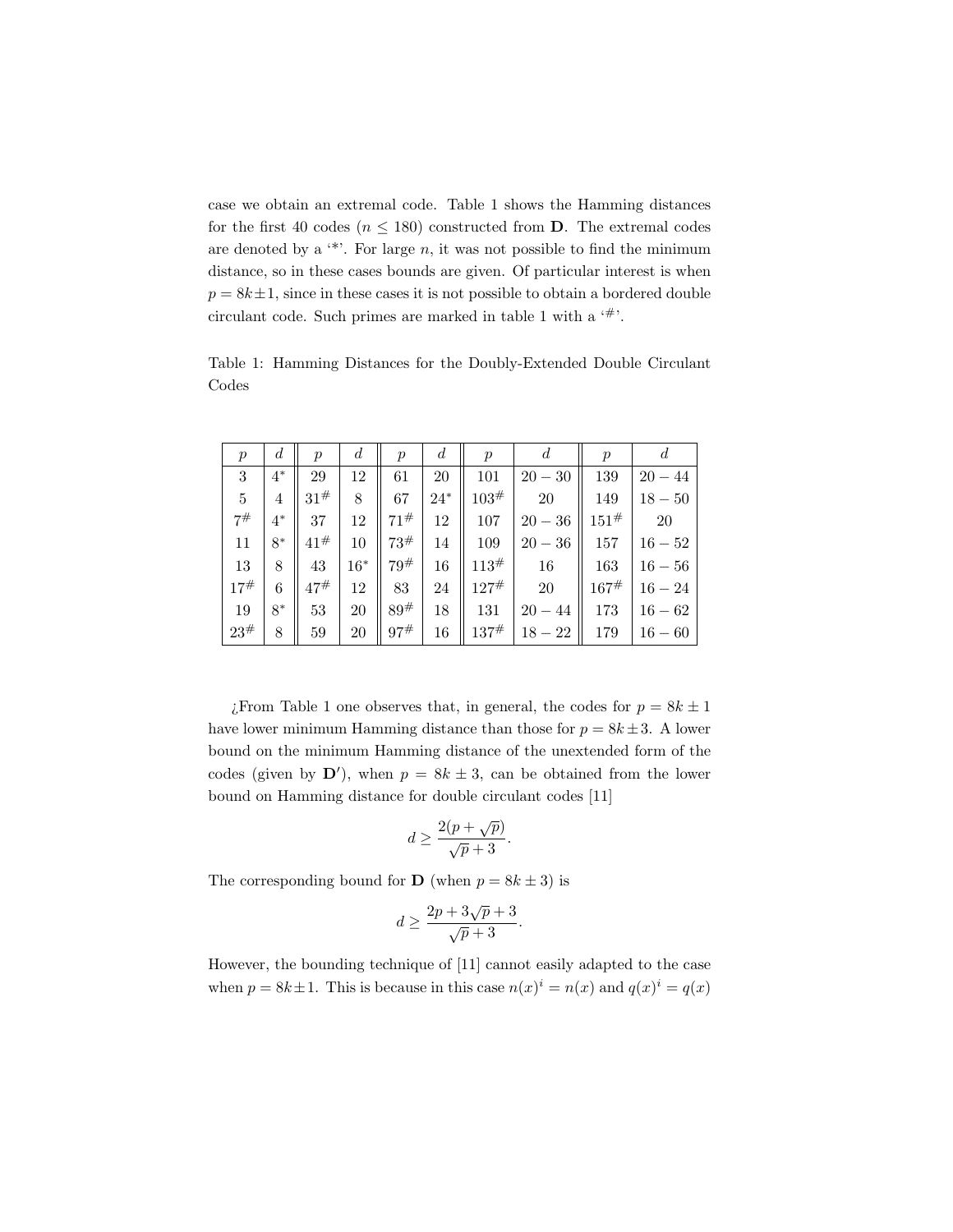case we obtain an extremal code. Table 1 shows the Hamming distances for the first 40 codes ( $n \leq 180$ ) constructed from **D**. The extremal codes are denoted by a  $**$ . For large n, it was not possible to find the minimum distance, so in these cases bounds are given. Of particular interest is when  $p = 8k \pm 1$ , since in these cases it is not possible to obtain a bordered double circulant code. Such primes are marked in table 1 with a  $4$ .

Table 1: Hamming Distances for the Doubly-Extended Double Circulant Codes

| р   | $\boldsymbol{d}$ | р         | d     | $\,p$     | d      | р          | a         | $\,p$ | a         |
|-----|------------------|-----------|-------|-----------|--------|------------|-----------|-------|-----------|
| 3   | $4^*$            | 29        | 12    | 61        | 20     | 101        | $20 - 30$ | 139   | $20 - 44$ |
| 5   | 4                | $31^{#}$  | 8     | 67        | $24^*$ | 103#       | 20        | 149   | $18 - 50$ |
| 7#  | $4^*$            | 37        | 12    | 71#       | 12     | 107        | $20 - 36$ | 151#  | <b>20</b> |
| 11  | $8*$             | 41#       | 10    | 73#       | 14     | 109        | $20 - 36$ | 157   | $16 - 52$ |
| 13  | 8                | 43        | $16*$ | $79^{\#}$ | 16     | 113#       | 16        | 163   | $16 - 56$ |
| 17# | 6                | $47^{\#}$ | 12    | 83        | 24     | $127^{\#}$ | 20        | 167#  | $16 - 24$ |
| 19  | 8*               | 53        | 20    | 89#       | 18     | 131        | $20 - 44$ | 173   | $16 - 62$ |
| 23# | 8                | 59        | 20    | 97#       | 16     | 137#       | $18 - 22$ | 179   | $16 - 60$ |

 $i$ From Table 1 one observes that, in general, the codes for  $p = 8k \pm 1$ have lower minimum Hamming distance than those for  $p = 8k \pm 3$ . A lower bound on the minimum Hamming distance of the unextended form of the codes (given by  $\mathbf{D}'$ ), when  $p = 8k \pm 3$ , can be obtained from the lower bound on Hamming distance for double circulant codes [11]

$$
d \ge \frac{2(p+\sqrt{p})}{\sqrt{p}+3}.
$$

The corresponding bound for **D** (when  $p = 8k \pm 3$ ) is

$$
d \ge \frac{2p + 3\sqrt{p} + 3}{\sqrt{p} + 3}.
$$

However, the bounding technique of [11] cannot easily adapted to the case when  $p = 8k \pm 1$ . This is because in this case  $n(x)^{i} = n(x)$  and  $q(x)^{i} = q(x)$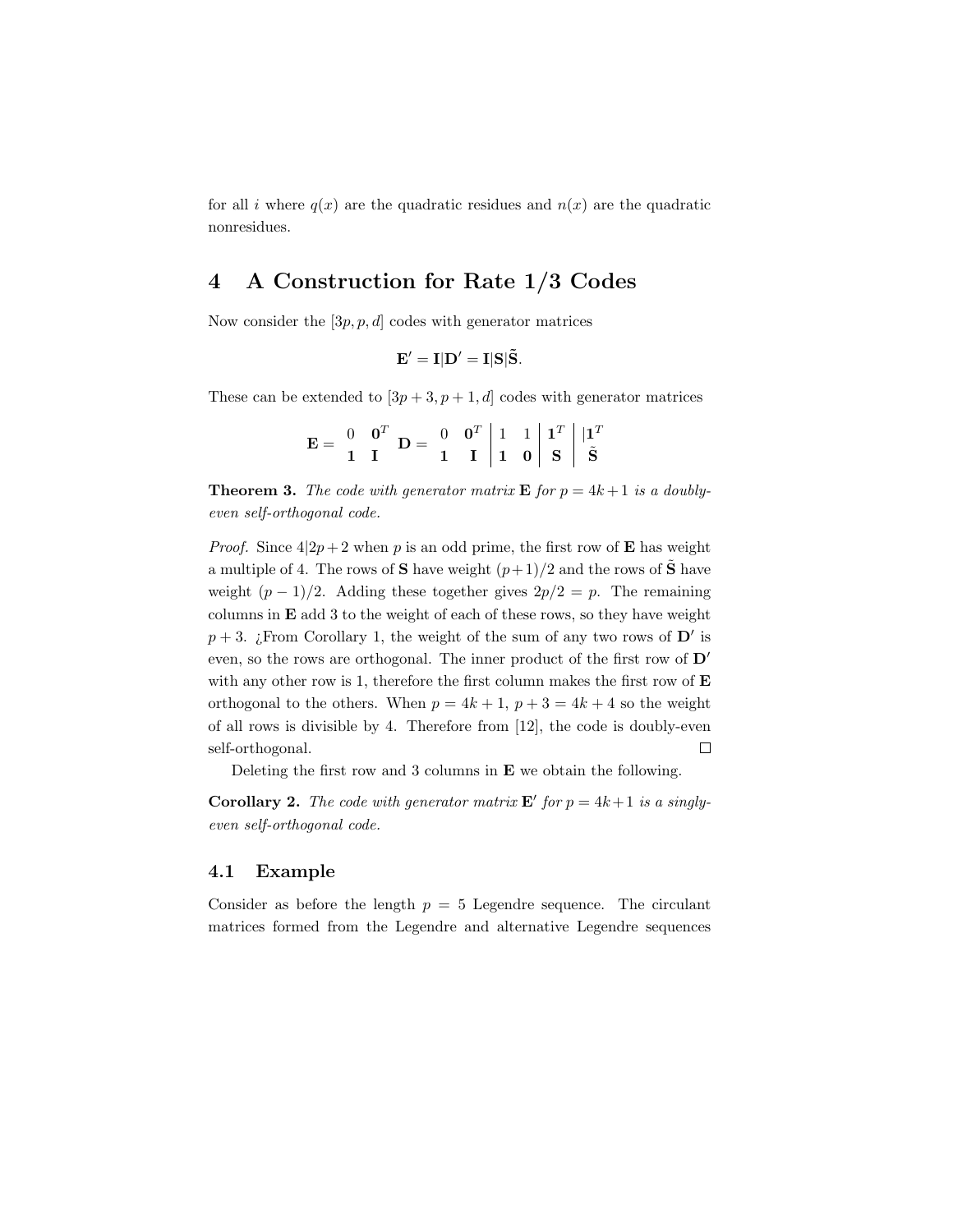for all i where  $q(x)$  are the quadratic residues and  $n(x)$  are the quadratic nonresidues.

### 4 A Construction for Rate 1/3 Codes

Now consider the  $[3p, p, d]$  codes with generator matrices

$$
\mathbf{E}' = \mathbf{I}|\mathbf{D}' = \mathbf{I}|\mathbf{S}|\tilde{\mathbf{S}}.
$$

These can be extended to  $[3p+3, p+1, d]$  codes with generator matrices

|  |  | $\mathbf{E} = \begin{bmatrix} 0 & \mathbf{0}^T \\ 1 & \mathbf{I} \end{bmatrix} \mathbf{D} = \begin{bmatrix} 0 & \mathbf{0}^T \\ 1 & \mathbf{I} \end{bmatrix} \begin{bmatrix} 1 & 1 \\ 1 & \mathbf{0} \end{bmatrix} \begin{bmatrix} \mathbf{1}^T \\ \mathbf{S} \end{bmatrix} \begin{bmatrix} \mathbf{1}^T \\ \mathbf{S} \end{bmatrix}$ |  |  |  |
|--|--|---------------------------------------------------------------------------------------------------------------------------------------------------------------------------------------------------------------------------------------------------------------------------------------------------------------------------------------|--|--|--|
|  |  |                                                                                                                                                                                                                                                                                                                                       |  |  |  |

**Theorem 3.** The code with generator matrix **E** for  $p = 4k + 1$  is a doublyeven self-orthogonal code.

*Proof.* Since  $4|2p+2$  when p is an odd prime, the first row of **E** has weight a multiple of 4. The rows of S have weight  $(p+1)/2$  and the rows of  $\tilde{S}$  have weight  $(p-1)/2$ . Adding these together gives  $2p/2 = p$ . The remaining columns in E add 3 to the weight of each of these rows, so they have weight  $p + 3$ . ¿From Corollary 1, the weight of the sum of any two rows of  $\mathbf{D}'$  is even, so the rows are orthogonal. The inner product of the first row of  $D'$ with any other row is 1, therefore the first column makes the first row of  $E$ orthogonal to the others. When  $p = 4k + 1$ ,  $p + 3 = 4k + 4$  so the weight of all rows is divisible by 4. Therefore from [12], the code is doubly-even self-orthogonal.  $\Box$ 

Deleting the first row and 3 columns in E we obtain the following.

**Corollary 2.** The code with generator matrix  $\mathbf{E}'$  for  $p = 4k + 1$  is a singlyeven self-orthogonal code.

### 4.1 Example

Consider as before the length  $p = 5$  Legendre sequence. The circulant matrices formed from the Legendre and alternative Legendre sequences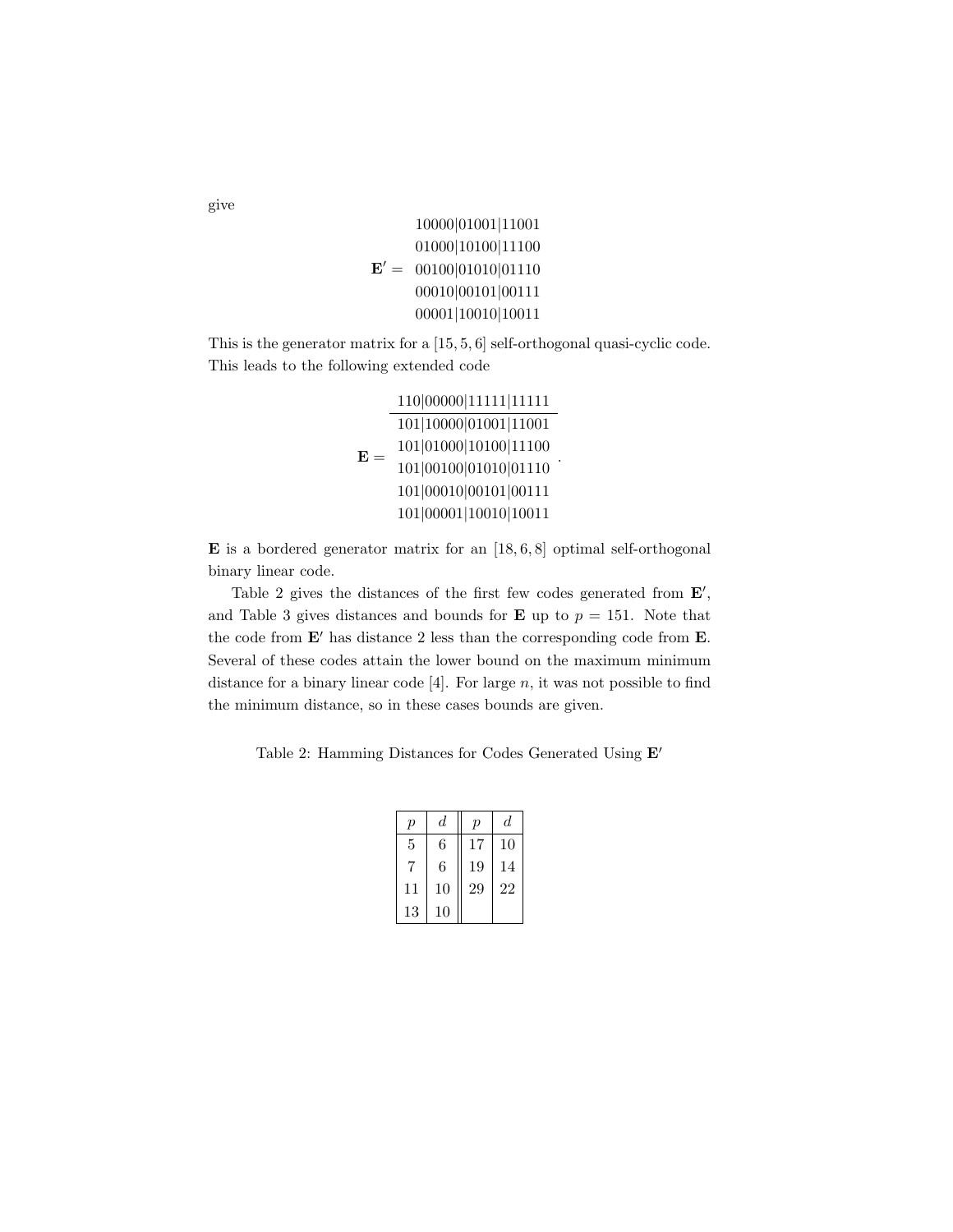```
\mathbf{E}' = 00100|01010|0111010000|01001|11001
      01000|10100|11100
      00010|00101|00111
      00001|10010|10011
```
This is the generator matrix for a [15, 5, 6] self-orthogonal quasi-cyclic code. This leads to the following extended code

> ${\bf E} =$ |00000|11111|11111 |10000|01001|11001 |01000|10100|11100 |00100|01010|01110 |00010|00101|00111 |00001|10010|10011 .

**E** is a bordered generator matrix for an  $[18, 6, 8]$  optimal self-orthogonal binary linear code.

Table 2 gives the distances of the first few codes generated from  $E'$ , and Table 3 gives distances and bounds for **E** up to  $p = 151$ . Note that the code from  $E'$  has distance 2 less than the corresponding code from  $E$ . Several of these codes attain the lower bound on the maximum minimum distance for a binary linear code  $[4]$ . For large n, it was not possible to find the minimum distance, so in these cases bounds are given.

Table 2: Hamming Distances for Codes Generated Using  $E'$ 

| $\mathfrak{p}$ | d  | $\overline{p}$ | d  |
|----------------|----|----------------|----|
| 5              | 6  | 17             | 10 |
| 7              | 6  | 19             | 14 |
| 11             | 10 | 29             | 22 |
| 13             | 10 |                |    |

give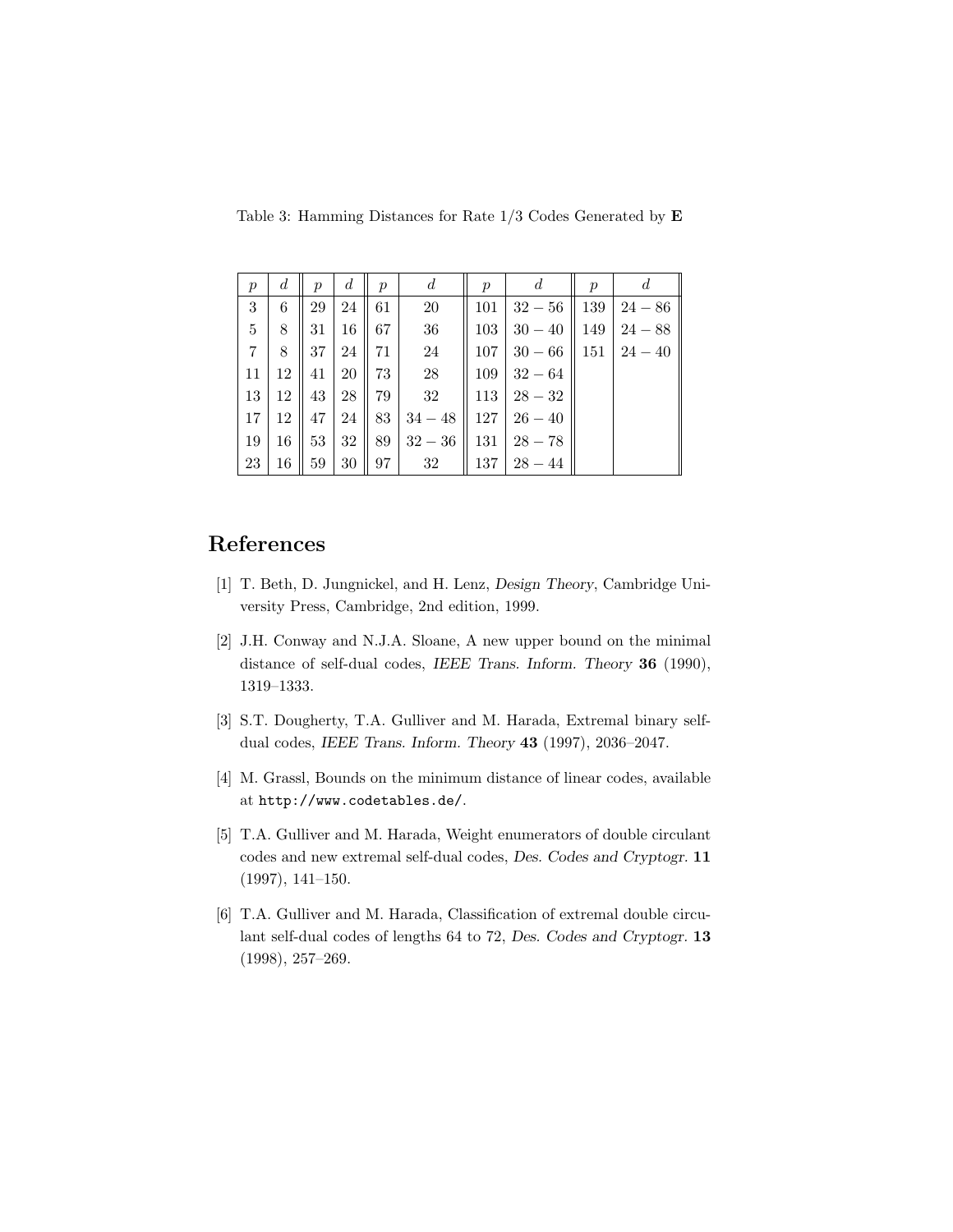Table 3: Hamming Distances for Rate 1/3 Codes Generated by E

| $\boldsymbol{p}$ | $\boldsymbol{d}$ | $\boldsymbol{p}$ | $\boldsymbol{d}$ | $\boldsymbol{p}$ | $\boldsymbol{d}$ | $\boldsymbol{p}$ | d                  | $\boldsymbol{p}$ | d                  |
|------------------|------------------|------------------|------------------|------------------|------------------|------------------|--------------------|------------------|--------------------|
| 3                | 6                | 29               | 24               | 61               | 20               | 101              | $32 - 56$          | 139              | $24 - 86$          |
| 5                | 8                | 31               | 16               | 67               | 36               | 103              | $30 - 40$          | 149              | $24 - 88$          |
| 7                | 8                | 37               | 24 l             | 71 l             | 24               | 107 <sup>1</sup> | $30 - 66$          |                  | $151 \mid 24 - 40$ |
| 11               | 12               | 41               | 20               | 73 I             | 28               | 109 <sup>°</sup> | $32 - 64$          |                  |                    |
| 13               | 12               | 43               | 28               | 79 I             | 32               | 113 <sup>1</sup> | $28 - 32$          |                  |                    |
| 17               | 12               | 47               | 24               | 83               | $34 - 48$        |                  | $127 \mid 26 - 40$ |                  |                    |
| 19               | 16               | 53               | 32               | 89               | $32 - 36$        | 131              | $28 - 78$          |                  |                    |
| 23               | 16               | 59               | 30               | $97 \mid$        | 32               |                  | $137 \mid 28 - 44$ |                  |                    |

# References

- [1] T. Beth, D. Jungnickel, and H. Lenz, Design Theory, Cambridge University Press, Cambridge, 2nd edition, 1999.
- [2] J.H. Conway and N.J.A. Sloane, A new upper bound on the minimal distance of self-dual codes, IEEE Trans. Inform. Theory 36 (1990), 1319–1333.
- [3] S.T. Dougherty, T.A. Gulliver and M. Harada, Extremal binary selfdual codes, IEEE Trans. Inform. Theory 43 (1997), 2036–2047.
- [4] M. Grassl, Bounds on the minimum distance of linear codes, available at http://www.codetables.de/.
- [5] T.A. Gulliver and M. Harada, Weight enumerators of double circulant codes and new extremal self-dual codes, Des. Codes and Cryptogr. 11 (1997), 141–150.
- [6] T.A. Gulliver and M. Harada, Classification of extremal double circulant self-dual codes of lengths 64 to 72, Des. Codes and Cryptogr. 13 (1998), 257–269.